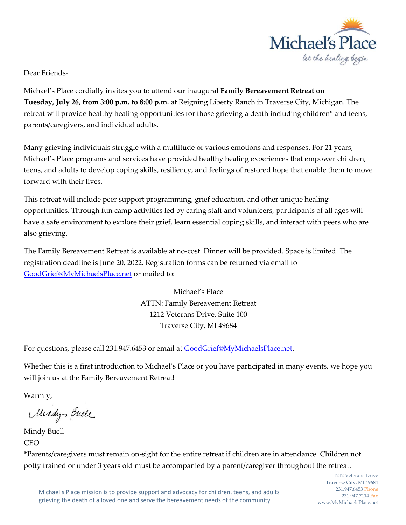

Dear Friends-

Michael's Place cordially invites you to attend our inaugural **Family Bereavement Retreat on Tuesday, July 26, from 3:00 p.m. to 8:00 p.m.** at Reigning Liberty Ranch in Traverse City, Michigan. The retreat will provide healthy healing opportunities for those grieving a death including children\* and teens, parents/caregivers, and individual adults.

Many grieving individuals struggle with a multitude of various emotions and responses. For 21 years, Michael's Place programs and services have provided healthy healing experiences that empower children, teens, and adults to develop coping skills, resiliency, and feelings of restored hope that enable them to move forward with their lives.

This retreat will include peer support programming, grief education, and other unique healing opportunities. Through fun camp activities led by caring staff and volunteers, participants of all ages will have a safe environment to explore their grief, learn essential coping skills, and interact with peers who are also grieving.

The Family Bereavement Retreat is available at no-cost. Dinner will be provided. Space is limited. The registration deadline is June 20, 2022. Registration forms can be returned via email to [GoodGrief@MyMichaelsPlace.net](mailto:GoodGrief@MyMichaelsPlace.net) or mailed to:

> Michael's Place ATTN: Family Bereavement Retreat 1212 Veterans Drive, Suite 100 Traverse City, MI 49684

For questions, please call 231.947.6453 or email at [GoodGrief@MyMichaelsPlace.net.](mailto:GoodGrief@MyMichaelsPlace.net)

Whether this is a first introduction to Michael's Place or you have participated in many events, we hope you will join us at the Family Bereavement Retreat!

Warmly,

Midys Buell

Mindy Buell **CEO** 

**\***Parents/caregivers must remain on-sight for the entire retreat if children are in attendance. Children not potty trained or under 3 years old must be accompanied by a parent/caregiver throughout the retreat.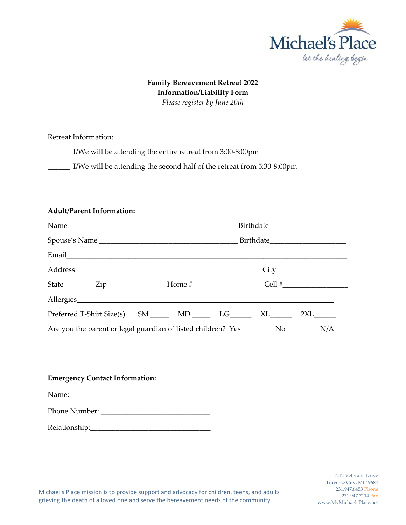

## **Family Bereavement Retreat 2022 Information/Liability Form** *Please register by June 20th*

Retreat Information:

\_\_\_\_\_\_ I/We will be attending the entire retreat from 3:00-8:00pm

\_\_\_\_\_\_ I/We will be attending the second half of the retreat from 5:30-8:00pm

## **Adult/Parent Information:**

| State _________Zip__________________Home #_______________________Cell #_____________________________ |  |  |  |  |  |
|------------------------------------------------------------------------------------------------------|--|--|--|--|--|
|                                                                                                      |  |  |  |  |  |
| Preferred T-Shirt Size(s) SM_______ MD_______ LG_______ XL_______ 2XL_______                         |  |  |  |  |  |
|                                                                                                      |  |  |  |  |  |

## **Emergency Contact Information:**

| Name:         |  |
|---------------|--|
| Phone Number: |  |
| Relationship: |  |

Michael's Place mission is to provide support and advocacy for children, teens, and adults grieving the death of a loved one and serve the bereavement needs of the community.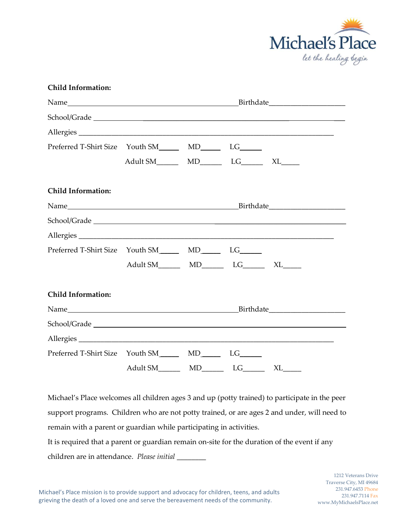

| <b>Child Information:</b>                                      |                                                    |  |  |  |
|----------------------------------------------------------------|----------------------------------------------------|--|--|--|
|                                                                |                                                    |  |  |  |
|                                                                |                                                    |  |  |  |
|                                                                |                                                    |  |  |  |
| Preferred T-Shirt Size Youth SM________ MD________ LG_______   |                                                    |  |  |  |
|                                                                |                                                    |  |  |  |
| <b>Child Information:</b>                                      |                                                    |  |  |  |
|                                                                |                                                    |  |  |  |
|                                                                |                                                    |  |  |  |
|                                                                |                                                    |  |  |  |
| Preferred T-Shirt Size Youth SM_________ MD________ LG_______  |                                                    |  |  |  |
|                                                                | Adult SM___________ MD_________ LG________ XL_____ |  |  |  |
| <b>Child Information:</b>                                      |                                                    |  |  |  |
|                                                                |                                                    |  |  |  |
|                                                                |                                                    |  |  |  |
| Allergies                                                      |                                                    |  |  |  |
| Preferred T-Shirt Size Youth SM_________ MD_________ LG_______ |                                                    |  |  |  |
|                                                                |                                                    |  |  |  |

Michael's Place welcomes all children ages 3 and up (potty trained) to participate in the peer support programs. Children who are not potty trained, or are ages 2 and under, will need to remain with a parent or guardian while participating in activities.

It is required that a parent or guardian remain on-site for the duration of the event if any children are in attendance. *Please initial* \_\_\_\_\_\_\_\_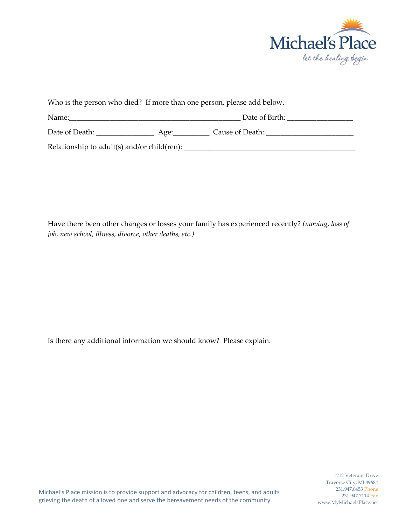

| Who is the person who died? If more than one person, please add below. |      |                 |  |  |  |
|------------------------------------------------------------------------|------|-----------------|--|--|--|
| Name:                                                                  |      | Date of Birth:  |  |  |  |
| Date of Death:                                                         | Age: | Cause of Death: |  |  |  |
| Relationship to adult(s) and/or child(ren):                            |      |                 |  |  |  |

Have there been other changes or losses your family has experienced recently? *(moving, loss of job, new school, illness, divorce, other deaths, etc.)*

Is there any additional information we should know? Please explain.